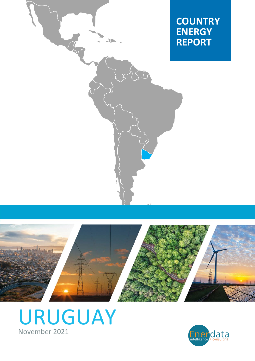





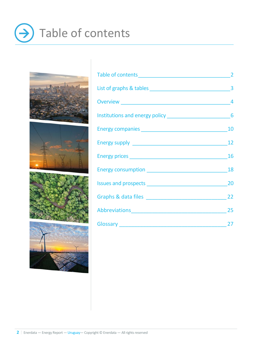# Table of contents  $\left( \rightarrow \right)$



|                  | $\overline{2}$ |
|------------------|----------------|
|                  |                |
|                  |                |
|                  |                |
|                  |                |
|                  | 12             |
|                  |                |
|                  |                |
|                  |                |
|                  |                |
| Abbreviations 25 |                |
| Glossary 27      |                |